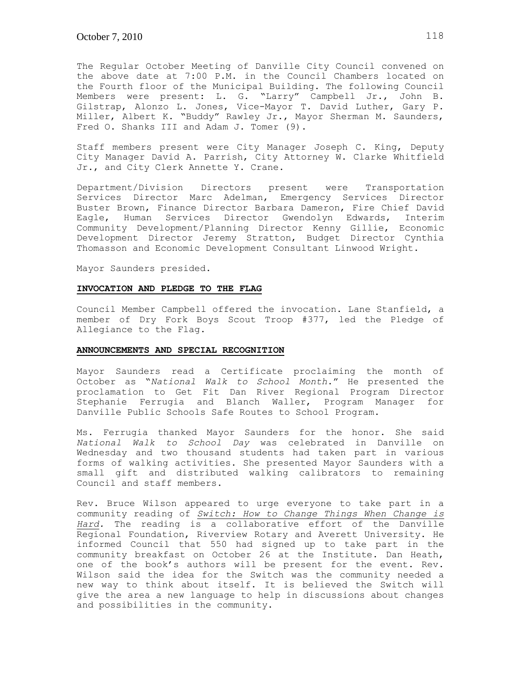The Regular October Meeting of Danville City Council convened on the above date at 7:00 P.M. in the Council Chambers located on the Fourth floor of the Municipal Building. The following Council Members were present: L. G. "Larry" Campbell Jr., John B. Gilstrap, Alonzo L. Jones, Vice-Mayor T. David Luther, Gary P. Miller, Albert K. "Buddy" Rawley Jr., Mayor Sherman M. Saunders, Fred O. Shanks III and Adam J. Tomer (9).

Staff members present were City Manager Joseph C. King, Deputy City Manager David A. Parrish, City Attorney W. Clarke Whitfield Jr., and City Clerk Annette Y. Crane.

Department/Division Directors present were Transportation Services Director Marc Adelman, Emergency Services Director Buster Brown, Finance Director Barbara Dameron, Fire Chief David Eagle, Human Services Director Gwendolyn Edwards, Interim Community Development/Planning Director Kenny Gillie, Economic Development Director Jeremy Stratton, Budget Director Cynthia Thomasson and Economic Development Consultant Linwood Wright.

Mayor Saunders presided.

### **INVOCATION AND PLEDGE TO THE FLAG**

Council Member Campbell offered the invocation. Lane Stanfield, a member of Dry Fork Boys Scout Troop #377, led the Pledge of Allegiance to the Flag.

### **ANNOUNCEMENTS AND SPECIAL RECOGNITION**

Mayor Saunders read a Certificate proclaiming the month of October as "*National Walk to School Month*." He presented the proclamation to Get Fit Dan River Regional Program Director Stephanie Ferrugia and Blanch Waller, Program Manager for Danville Public Schools Safe Routes to School Program.

Ms. Ferrugia thanked Mayor Saunders for the honor. She said *National Walk to School Day* was celebrated in Danville on Wednesday and two thousand students had taken part in various forms of walking activities. She presented Mayor Saunders with a small gift and distributed walking calibrators to remaining Council and staff members.

Rev. Bruce Wilson appeared to urge everyone to take part in a community reading of *Switch: How to Change Things When Change is Hard.* The reading is a collaborative effort of the Danville Regional Foundation, Riverview Rotary and Averett University. He informed Council that 550 had signed up to take part in the community breakfast on October 26 at the Institute. Dan Heath, one of the book's authors will be present for the event. Rev. Wilson said the idea for the Switch was the community needed a new way to think about itself. It is believed the Switch will give the area a new language to help in discussions about changes and possibilities in the community.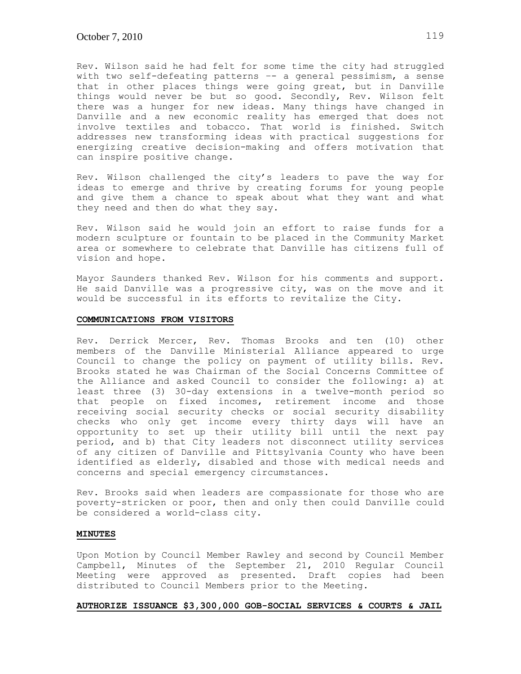Rev. Wilson said he had felt for some time the city had struggled with two self-defeating patterns –- a general pessimism, a sense that in other places things were going great, but in Danville things would never be but so good. Secondly, Rev. Wilson felt there was a hunger for new ideas. Many things have changed in Danville and a new economic reality has emerged that does not involve textiles and tobacco. That world is finished. Switch addresses new transforming ideas with practical suggestions for energizing creative decision-making and offers motivation that can inspire positive change.

Rev. Wilson challenged the city's leaders to pave the way for ideas to emerge and thrive by creating forums for young people and give them a chance to speak about what they want and what they need and then do what they say.

Rev. Wilson said he would join an effort to raise funds for a modern sculpture or fountain to be placed in the Community Market area or somewhere to celebrate that Danville has citizens full of vision and hope.

Mayor Saunders thanked Rev. Wilson for his comments and support. He said Danville was a progressive city, was on the move and it would be successful in its efforts to revitalize the City.

## **COMMUNICATIONS FROM VISITORS**

Rev. Derrick Mercer, Rev. Thomas Brooks and ten (10) other members of the Danville Ministerial Alliance appeared to urge Council to change the policy on payment of utility bills. Rev. Brooks stated he was Chairman of the Social Concerns Committee of the Alliance and asked Council to consider the following: a) at least three (3) 30-day extensions in a twelve-month period so that people on fixed incomes, retirement income and those receiving social security checks or social security disability checks who only get income every thirty days will have an opportunity to set up their utility bill until the next pay period, and b) that City leaders not disconnect utility services of any citizen of Danville and Pittsylvania County who have been identified as elderly, disabled and those with medical needs and concerns and special emergency circumstances.

Rev. Brooks said when leaders are compassionate for those who are poverty-stricken or poor, then and only then could Danville could be considered a world-class city.

## **MINUTES**

Upon Motion by Council Member Rawley and second by Council Member Campbell, Minutes of the September 21, 2010 Regular Council Meeting were approved as presented. Draft copies had been distributed to Council Members prior to the Meeting.

## **AUTHORIZE ISSUANCE \$3,300,000 GOB-SOCIAL SERVICES & COURTS & JAIL**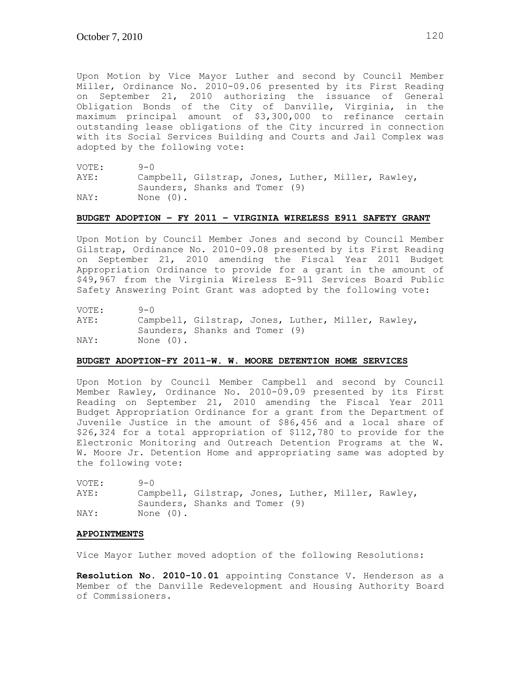Upon Motion by Vice Mayor Luther and second by Council Member Miller, Ordinance No. 2010-09.06 presented by its First Reading on September 21, 2010 authorizing the issuance of General Obligation Bonds of the City of Danville, Virginia, in the maximum principal amount of \$3,300,000 to refinance certain outstanding lease obligations of the City incurred in connection with its Social Services Building and Courts and Jail Complex was adopted by the following vote:

VOTE: 9-0 AYE: Campbell, Gilstrap, Jones, Luther, Miller, Rawley, Saunders, Shanks and Tomer (9) NAY: None (0).

### **BUDGET ADOPTION – FY 2011 – VIRGINIA WIRELESS E911 SAFETY GRANT**

Upon Motion by Council Member Jones and second by Council Member Gilstrap, Ordinance No. 2010-09.08 presented by its First Reading on September 21, 2010 amending the Fiscal Year 2011 Budget Appropriation Ordinance to provide for a grant in the amount of \$49,967 from the Virginia Wireless E-911 Services Board Public Safety Answering Point Grant was adopted by the following vote:

VOTE: 9-0

AYE: Campbell, Gilstrap, Jones, Luther, Miller, Rawley, Saunders, Shanks and Tomer (9) NAY: None (0).

### **BUDGET ADOPTION-FY 2011-W. W. MOORE DETENTION HOME SERVICES**

Upon Motion by Council Member Campbell and second by Council Member Rawley, Ordinance No. 2010-09.09 presented by its First Reading on September 21, 2010 amending the Fiscal Year 2011 Budget Appropriation Ordinance for a grant from the Department of Juvenile Justice in the amount of \$86,456 and a local share of \$26,324 for a total appropriation of \$112,780 to provide for the Electronic Monitoring and Outreach Detention Programs at the W. W. Moore Jr. Detention Home and appropriating same was adopted by the following vote:

| VOTE: | $9 - 0$                                            |  |  |  |
|-------|----------------------------------------------------|--|--|--|
| AYE:  | Campbell, Gilstrap, Jones, Luther, Miller, Rawley, |  |  |  |
|       | Saunders, Shanks and Tomer (9)                     |  |  |  |
| NAY:  | None (0).                                          |  |  |  |

#### **APPOINTMENTS**

Vice Mayor Luther moved adoption of the following Resolutions:

**Resolution No. 2010-10.01** appointing Constance V. Henderson as a Member of the Danville Redevelopment and Housing Authority Board of Commissioners.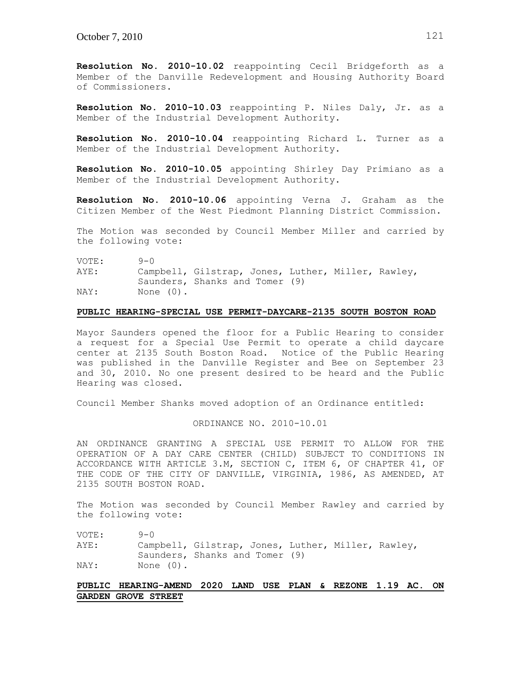**Resolution No. 2010-10.02** reappointing Cecil Bridgeforth as a Member of the Danville Redevelopment and Housing Authority Board of Commissioners.

**Resolution No. 2010-10.03** reappointing P. Niles Daly, Jr. as a Member of the Industrial Development Authority.

**Resolution No. 2010-10.04** reappointing Richard L. Turner as a Member of the Industrial Development Authority.

**Resolution No. 2010-10.05** appointing Shirley Day Primiano as a Member of the Industrial Development Authority.

**Resolution No. 2010-10.06** appointing Verna J. Graham as the Citizen Member of the West Piedmont Planning District Commission.

The Motion was seconded by Council Member Miller and carried by the following vote:

VOTE: 9-0

AYE: Campbell, Gilstrap, Jones, Luther, Miller, Rawley, Saunders, Shanks and Tomer (9)

NAY: None (0).

## **PUBLIC HEARING-SPECIAL USE PERMIT-DAYCARE-2135 SOUTH BOSTON ROAD**

Mayor Saunders opened the floor for a Public Hearing to consider a request for a Special Use Permit to operate a child daycare center at 2135 South Boston Road. Notice of the Public Hearing was published in the Danville Register and Bee on September 23 and 30, 2010. No one present desired to be heard and the Public Hearing was closed.

Council Member Shanks moved adoption of an Ordinance entitled:

### ORDINANCE NO. 2010-10.01

AN ORDINANCE GRANTING A SPECIAL USE PERMIT TO ALLOW FOR THE OPERATION OF A DAY CARE CENTER (CHILD) SUBJECT TO CONDITIONS IN ACCORDANCE WITH ARTICLE 3.M, SECTION C, ITEM 6, OF CHAPTER 41, OF THE CODE OF THE CITY OF DANVILLE, VIRGINIA, 1986, AS AMENDED, AT 2135 SOUTH BOSTON ROAD.

The Motion was seconded by Council Member Rawley and carried by the following vote:

VOTE: 9-0

AYE: Campbell, Gilstrap, Jones, Luther, Miller, Rawley, Saunders, Shanks and Tomer (9) NAY: None (0).

# **PUBLIC HEARING-AMEND 2020 LAND USE PLAN & REZONE 1.19 AC. ON GARDEN GROVE STREET**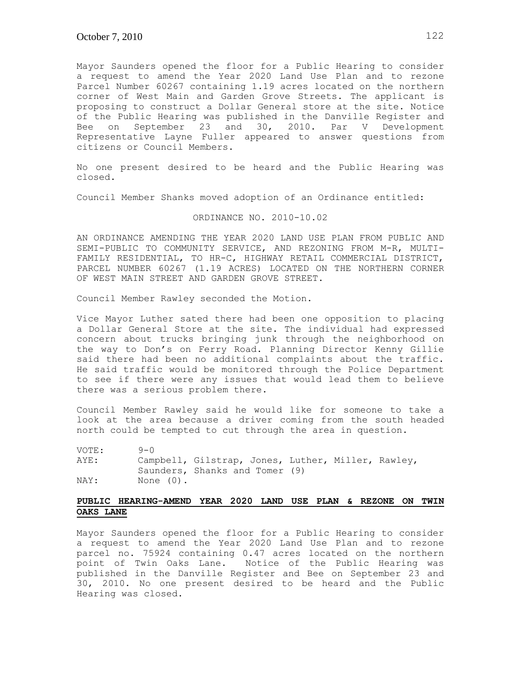Mayor Saunders opened the floor for a Public Hearing to consider a request to amend the Year 2020 Land Use Plan and to rezone Parcel Number 60267 containing 1.19 acres located on the northern corner of West Main and Garden Grove Streets. The applicant is proposing to construct a Dollar General store at the site. Notice of the Public Hearing was published in the Danville Register and Bee on September 23 and 30, 2010. Par V Development Representative Layne Fuller appeared to answer questions from citizens or Council Members.

No one present desired to be heard and the Public Hearing was closed.

Council Member Shanks moved adoption of an Ordinance entitled:

### ORDINANCE NO. 2010-10.02

AN ORDINANCE AMENDING THE YEAR 2020 LAND USE PLAN FROM PUBLIC AND SEMI-PUBLIC TO COMMUNITY SERVICE, AND REZONING FROM M-R, MULTI-FAMILY RESIDENTIAL, TO HR-C, HIGHWAY RETAIL COMMERCIAL DISTRICT, PARCEL NUMBER 60267 (1.19 ACRES) LOCATED ON THE NORTHERN CORNER OF WEST MAIN STREET AND GARDEN GROVE STREET.

Council Member Rawley seconded the Motion.

Vice Mayor Luther sated there had been one opposition to placing a Dollar General Store at the site. The individual had expressed concern about trucks bringing junk through the neighborhood on the way to Don's on Ferry Road. Planning Director Kenny Gillie said there had been no additional complaints about the traffic. He said traffic would be monitored through the Police Department to see if there were any issues that would lead them to believe there was a serious problem there.

Council Member Rawley said he would like for someone to take a look at the area because a driver coming from the south headed north could be tempted to cut through the area in question.

| VOTE: | $9 - 0$   |                                                                                      |  |  |
|-------|-----------|--------------------------------------------------------------------------------------|--|--|
| AYE:  |           | Campbell, Gilstrap, Jones, Luther, Miller, Rawley,<br>Saunders, Shanks and Tomer (9) |  |  |
| NAY:  | None (0). |                                                                                      |  |  |

# **PUBLIC HEARING-AMEND YEAR 2020 LAND USE PLAN & REZONE ON TWIN OAKS LANE**

Mayor Saunders opened the floor for a Public Hearing to consider a request to amend the Year 2020 Land Use Plan and to rezone parcel no. 75924 containing 0.47 acres located on the northern point of Twin Oaks Lane. Notice of the Public Hearing was published in the Danville Register and Bee on September 23 and 30, 2010. No one present desired to be heard and the Public Hearing was closed.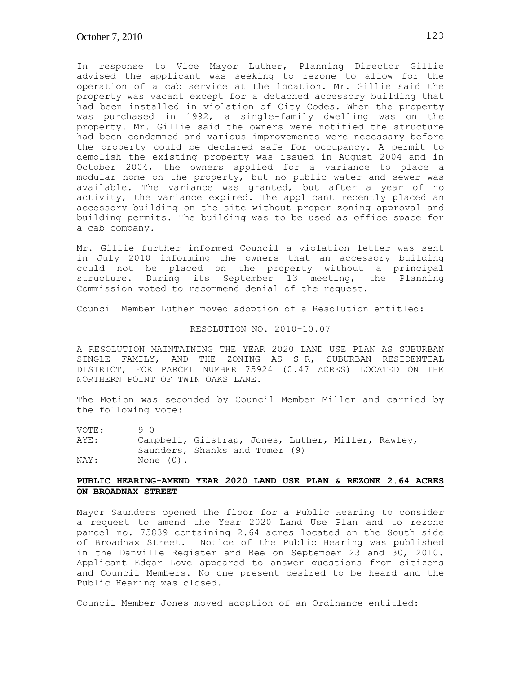In response to Vice Mayor Luther, Planning Director Gillie advised the applicant was seeking to rezone to allow for the operation of a cab service at the location. Mr. Gillie said the property was vacant except for a detached accessory building that had been installed in violation of City Codes. When the property was purchased in 1992, a single-family dwelling was on the property. Mr. Gillie said the owners were notified the structure had been condemned and various improvements were necessary before the property could be declared safe for occupancy. A permit to demolish the existing property was issued in August 2004 and in October 2004, the owners applied for a variance to place a modular home on the property, but no public water and sewer was available. The variance was granted, but after a year of no activity, the variance expired. The applicant recently placed an accessory building on the site without proper zoning approval and building permits. The building was to be used as office space for a cab company.

Mr. Gillie further informed Council a violation letter was sent in July 2010 informing the owners that an accessory building could not be placed on the property without a principal structure. During its September 13 meeting, the Planning Commission voted to recommend denial of the request.

Council Member Luther moved adoption of a Resolution entitled:

# RESOLUTION NO. 2010-10.07

A RESOLUTION MAINTAINING THE YEAR 2020 LAND USE PLAN AS SUBURBAN SINGLE FAMILY, AND THE ZONING AS S-R, SUBURBAN RESIDENTIAL DISTRICT, FOR PARCEL NUMBER 75924 (0.47 ACRES) LOCATED ON THE NORTHERN POINT OF TWIN OAKS LANE.

The Motion was seconded by Council Member Miller and carried by the following vote:

VOTE: 9-0

AYE: Campbell, Gilstrap, Jones, Luther, Miller, Rawley, Saunders, Shanks and Tomer (9) NAY: None (0).

# **PUBLIC HEARING-AMEND YEAR 2020 LAND USE PLAN & REZONE 2.64 ACRES ON BROADNAX STREET**

Mayor Saunders opened the floor for a Public Hearing to consider a request to amend the Year 2020 Land Use Plan and to rezone parcel no. 75839 containing 2.64 acres located on the South side of Broadnax Street. Notice of the Public Hearing was published in the Danville Register and Bee on September 23 and 30, 2010. Applicant Edgar Love appeared to answer questions from citizens and Council Members. No one present desired to be heard and the Public Hearing was closed.

Council Member Jones moved adoption of an Ordinance entitled: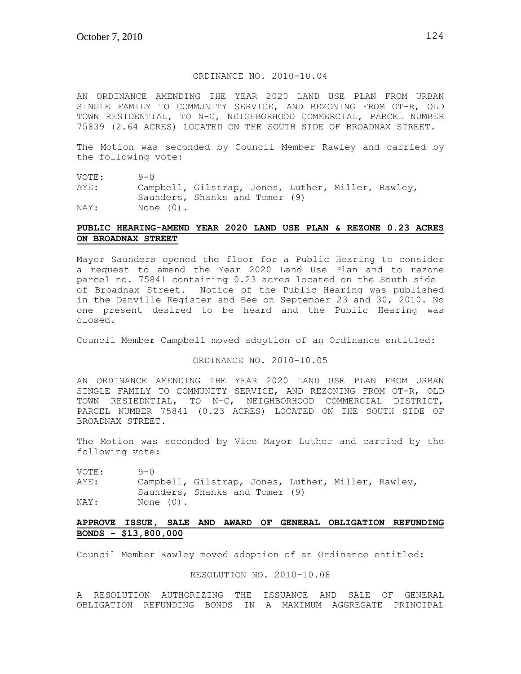## ORDINANCE NO. 2010-10.04

AN ORDINANCE AMENDING THE YEAR 2020 LAND USE PLAN FROM URBAN SINGLE FAMILY TO COMMUNITY SERVICE, AND REZONING FROM OT-R, OLD TOWN RESIDENTIAL, TO N-C, NEIGHBORHOOD COMMERCIAL, PARCEL NUMBER 75839 (2.64 ACRES) LOCATED ON THE SOUTH SIDE OF BROADNAX STREET.

The Motion was seconded by Council Member Rawley and carried by the following vote:

VOTE: 9-0

AYE: Campbell, Gilstrap, Jones, Luther, Miller, Rawley, Saunders, Shanks and Tomer (9) NAY: None (0).

# **PUBLIC HEARING-AMEND YEAR 2020 LAND USE PLAN & REZONE 0.23 ACRES ON BROADNAX STREET**

Mayor Saunders opened the floor for a Public Hearing to consider a request to amend the Year 2020 Land Use Plan and to rezone parcel no. 75841 containing 0.23 acres located on the South side of Broadnax Street. Notice of the Public Hearing was published in the Danville Register and Bee on September 23 and 30, 2010. No one present desired to be heard and the Public Hearing was closed.

Council Member Campbell moved adoption of an Ordinance entitled:

ORDINANCE NO. 2010-10.05

AN ORDINANCE AMENDING THE YEAR 2020 LAND USE PLAN FROM URBAN SINGLE FAMILY TO COMMUNITY SERVICE, AND REZONING FROM OT-R, OLD TOWN RESIEDNTIAL, TO N-C, NEIGHBORHOOD COMMERCIAL DISTRICT, PARCEL NUMBER 75841 (0.23 ACRES) LOCATED ON THE SOUTH SIDE OF BROADNAX STREET.

The Motion was seconded by Vice Mayor Luther and carried by the following vote:

VOTE: 9-0 AYE: Campbell, Gilstrap, Jones, Luther, Miller, Rawley, Saunders, Shanks and Tomer (9) NAY: None (0).

## **APPROVE ISSUE, SALE AND AWARD OF GENERAL OBLIGATION REFUNDING BONDS - \$13,800,000**

Council Member Rawley moved adoption of an Ordinance entitled:

## RESOLUTION NO. 2010-10.08

A RESOLUTION AUTHORIZING THE ISSUANCE AND SALE OF GENERAL OBLIGATION REFUNDING BONDS IN A MAXIMUM AGGREGATE PRINCIPAL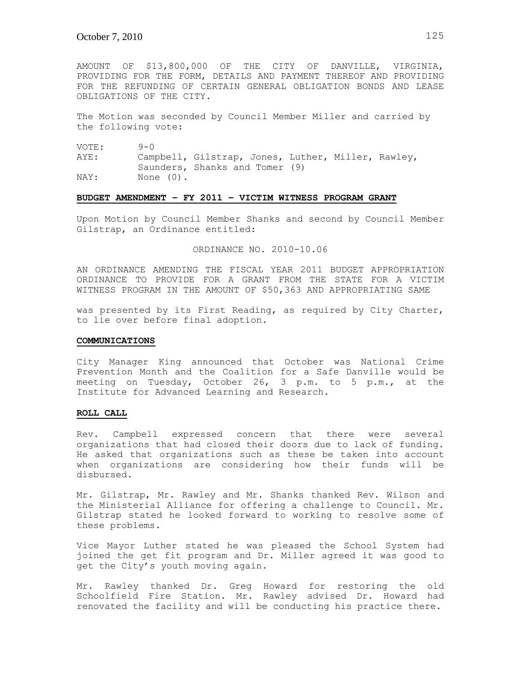AMOUNT OF \$13,800,000 OF THE CITY OF DANVILLE, VIRGINIA, PROVIDING FOR THE FORM, DETAILS AND PAYMENT THEREOF AND PROVIDING FOR THE REFUNDING OF CERTAIN GENERAL OBLIGATION BONDS AND LEASE OBLIGATIONS OF THE CITY.

The Motion was seconded by Council Member Miller and carried by the following vote:

VOTE: 9-0

AYE: Campbell, Gilstrap, Jones, Luther, Miller, Rawley, Saunders, Shanks and Tomer (9) NAY: None (0).

### **BUDGET AMENDMENT – FY 2011 – VICTIM WITNESS PROGRAM GRANT**

Upon Motion by Council Member Shanks and second by Council Member Gilstrap, an Ordinance entitled:

ORDINANCE NO. 2010-10.06

AN ORDINANCE AMENDING THE FISCAL YEAR 2011 BUDGET APPROPRIATION ORDINANCE TO PROVIDE FOR A GRANT FROM THE STATE FOR A VICTIM WITNESS PROGRAM IN THE AMOUNT OF \$50,363 AND APPROPRIATING SAME

was presented by its First Reading, as required by City Charter, to lie over before final adoption.

#### **COMMUNICATIONS**

City Manager King announced that October was National Crime Prevention Month and the Coalition for a Safe Danville would be meeting on Tuesday, October 26, 3 p.m. to 5 p.m., at the Institute for Advanced Learning and Research.

#### **ROLL CALL**

Rev. Campbell expressed concern that there were several organizations that had closed their doors due to lack of funding. He asked that organizations such as these be taken into account when organizations are considering how their funds will be disbursed.

Mr. Gilstrap, Mr. Rawley and Mr. Shanks thanked Rev. Wilson and the Ministerial Alliance for offering a challenge to Council. Mr. Gilstrap stated he looked forward to working to resolve some of these problems.

Vice Mayor Luther stated he was pleased the School System had joined the get fit program and Dr. Miller agreed it was good to get the City's youth moving again.

Mr. Rawley thanked Dr. Greg Howard for restoring the old Schoolfield Fire Station. Mr. Rawley advised Dr. Howard had renovated the facility and will be conducting his practice there.